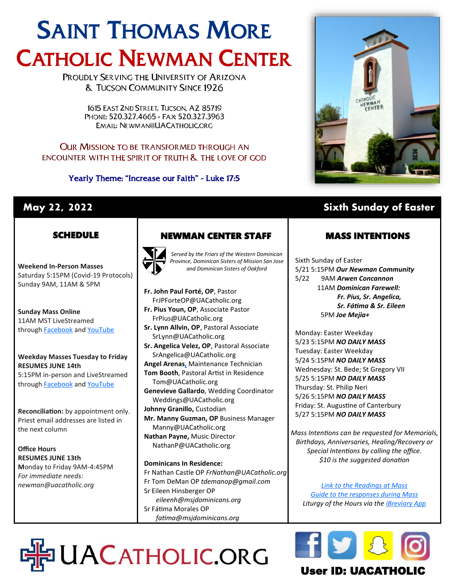# SAINT THOMAS MORE CATHOLIC NEWMAN CENTER

PROUDLY SERVING THE UNIVERSITY OF ARIZONA **& TUCSON COMMUNITY SINCE 1926** 

> 1615 EAST 2ND STREET. TUCSON, AZ 85719 PHONE: 520.327.4665 - FAX: 520.327.3963 EMAIL: NEWMAN@UACATHOLIC.ORG

#### **OUR MISSION: TO BE TRANSFORMED THROUGH AN** ENCOUNTER WITH THE SPIRIT OF TRUTH & THE LOVE OF GOD

Yearly Theme: "Increase our Faith" - Luke 17:5



## **May 22, 2022 Sixth Sunday of Easter**

### **SCHEDULE**

**Weekend In-Person Masses**  Saturday 5:15PM (Covid-19 Protocols) Sunday 9AM, 11AM & 5PM

**Sunday Mass Online** 11AM MST LiveStreamed through **[Facebook](http://www.facebook.com/uacatholic/live)** and YouTube

#### **Weekday Masses Tuesday to Friday RESUMES JUNE 14th** 5:15PM in-person and LiveStreamed through **[Facebook](http://www.facebook.com/uacatholic/live)** and [YouTube](http://www.youtube.com/uacatholic)

**Reconciliation:** by appointment only. Priest email addresses are listed in the next column

**Office Hours RESUMES JUNE 13th M**onday to Friday 9AM-4:45PM *For immediate needs: newman@uacatholic.org*

## NEWMAN CENTER STAFF



*Served by the Friars of the Western Dominican Province, Dominican Sisters of Mission San Jose and Dominican Sisters of Oakford*

**Fr. John Paul Forté, OP**, Pastor FrJPForteOP@UACatholic.org **Fr. Pius Youn, OP**, Associate Pastor FrPius@UACatholic.org

- **Sr. Lynn Allvin, OP**, Pastoral Associate SrLynn@UACatholic.org
- **Sr. Angelica Velez, OP**, Pastoral Associate SrAngelica@UACatholic.org **Angel Arenas[,](https://diocesetucson.org/human-resources/employment-opportunities/?gnk=job&gni=8a78859e7ce7e880017d542227cb4d42)** Maintenance Technician

**Tom Booth**, Pastoral Artist in Residence Tom@UACatholic.org

**Genevieve Gallardo**, Wedding Coordinator Weddings@UACatholic.org **Johnny Granillo,** Custodian

**Mr. Manny Guzman, OP** Business Manager Manny@UACatholic.org **Nathan Payne,** Music Director

NathanP@UACatholic.org

#### **Dominicans In Residence:**

DHPUACATHOLIC.ORG

Fr Nathan Castle OP *FrNathan@UACatholic.org* Fr Tom DeMan OP *tdemanop@gmail.com* Sr Eileen Hinsberger OP *eileenh@msjdominicans.org* Sr Fátima Morales OP  *fatima@msjdominicans.org*

MASS INTENTIONS

Sixth Sunday of Easter 5/21 5:15PM *Our Newman Community* 5/22 9AM *Arwen Concannon* 11AM *Dominican Farewell: Fr. Pius, Sr. Angelica, Sr. Fátima & Sr. Eileen* 5PM *Joe Mejia+*

Monday: Easter Weekday 5/23 5:15PM *NO DAILY MASS* Tuesday: Easter Weekday 5/24 5:15PM *NO DAILY MASS* Wednesday: St. Bede; St Gregory VII 5/25 5:15PM *NO DAILY MASS* Thursday: St. Philip Neri 5/26 5:15PM *NO DAILY MASS* Friday: St. Augustine of Canterbury 5/27 5:15PM *NO DAILY MASS*

*Mass Intentions can be requested for Memorials, Birthdays, Anniversaries, Healing/Recovery or Special Intentions by calling the office. \$10 is the suggested donation*

*[Link to the Readings at Mass](http://usccb.org/readings) [Guide to the responses during Mass](https://universalis.com/static/mass/orderofmass.htm) Liturgy of the Hours via the [iBreviary App](https://www.ibreviary.org/en/)*



## User ID: UACATHO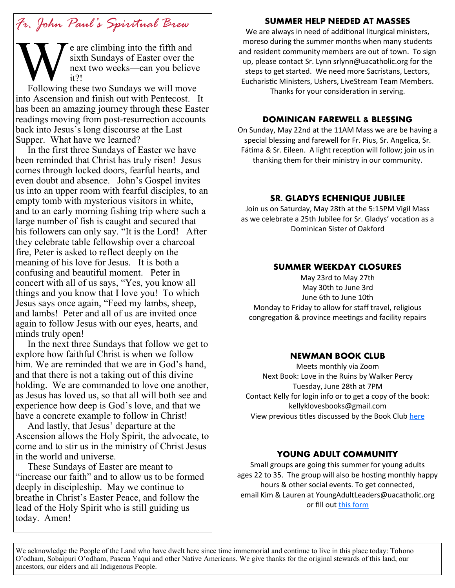## *Fr. John Paul's Spiritual Brew*

e are climbing into the fifth and sixth Sundays of Easter over the next two weeks—can you believe it?!

**W**<br>Following Following these two Sundays we will move into Ascension and finish out with Pentecost. It has been an amazing journey through these Easter readings moving from post-resurrection accounts back into Jesus's long discourse at the Last Supper. What have we learned?

 In the first three Sundays of Easter we have been reminded that Christ has truly risen! Jesus comes through locked doors, fearful hearts, and even doubt and absence. John's Gospel invites us into an upper room with fearful disciples, to an empty tomb with mysterious visitors in white, and to an early morning fishing trip where such a large number of fish is caught and secured that his followers can only say. "It is the Lord! After they celebrate table fellowship over a charcoal fire, Peter is asked to reflect deeply on the meaning of his love for Jesus. It is both a confusing and beautiful moment. Peter in concert with all of us says, "Yes, you know all things and you know that I love you! To which Jesus says once again, "Feed my lambs, sheep, and lambs! Peter and all of us are invited once again to follow Jesus with our eyes, hearts, and minds truly open!

 In the next three Sundays that follow we get to explore how faithful Christ is when we follow him. We are reminded that we are in God's hand, and that there is not a taking out of this divine holding. We are commanded to love one another, as Jesus has loved us, so that all will both see and experience how deep is God's love, and that we have a concrete example to follow in Christ!

 And lastly, that Jesus' departure at the Ascension allows the Holy Spirit, the advocate, to come and to stir us in the ministry of Christ Jesus in the world and universe.

 These Sundays of Easter are meant to "increase our faith" and to allow us to be formed deeply in discipleship. May we continue to breathe in Christ's Easter Peace, and follow the lead of the Holy Spirit who is still guiding us today. Amen!

#### **SUMMER HELP NEEDED AT MASSES**

We are always in need of additional liturgical ministers, moreso during the summer months when many students and resident community members are out of town. To sign up, please contact Sr. Lynn srlynn@uacatholic.org for the steps to get started. We need more Sacristans, Lectors, Eucharistic Ministers, Ushers, LiveStream Team Members. Thanks for your consideration in serving.

#### **DOMINICAN FAREWELL & BLESSING**

On Sunday, May 22nd at the 11AM Mass we are be having a special blessing and farewell for Fr. Pius, Sr. Angelica, Sr. Fátima & Sr. Eileen. A light reception will follow; join us in thanking them for their ministry in our community.

#### **SR. GLADYS ECHENIQUE JUBILEE**

Join us on Saturday, May 28th at the 5:15PM Vigil Mass as we celebrate a 25th Jubilee for Sr. Gladys' vocation as a Dominican Sister of Oakford

#### **SUMMER WEEKDAY CLOSURES**

May 23rd to May 27th May 30th to June 3rd June 6th to June 10th Monday to Friday to allow for staff travel, religious congregation & province meetings and facility repairs

#### **NEWMAN BOOK CLUB**

Meets monthly via Zoom Next Book: Love in the Ruins by Walker Percy Tuesday, June 28th at 7PM Contact Kelly for login info or to get a copy of the book: kellyklovesbooks@gmail.com View previous titles discussed by the Book Club [here](https://www.goodreads.com/group/bookshelf/1128855-newman-book-club?order=d&per_page=30&shelf=read&sort=date_added&view=main)

#### **YOUNG ADULT COMMUNITY**

Small groups are going this summer for young adults ages 22 to 35. The group will also be hosting monthly happy hours & other social events. To get connected, email Kim & Lauren at YoungAdultLeaders@uacatholic.org or fill out [this form](https://docs.google.com/forms/d/e/1FAIpQLSevA_xqqbs5QDDzXLRCyV7jBXYreBKAYDq8RMziPX8UqC2ImA/viewform)

We acknowledge the People of the Land who have dwelt here since time immemorial and continue to live in this place today: Tohono O'odham, Sobaipuri O'odham, Pascua Yaqui and other Native Americans. We give thanks for the original stewards of this land, our ancestors, our elders and all Indigenous People.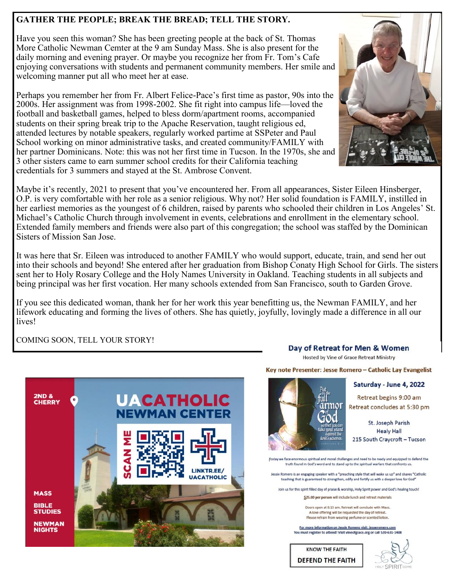#### **GATHER THE PEOPLE; BREAK THE BREAD; TELL THE STORY.**

Have you seen this woman? She has been greeting people at the back of St. Thomas More Catholic Newman Cemter at the 9 am Sunday Mass. She is also present for the daily morning and evening prayer. Or maybe you recognize her from Fr. Tom's Cafe enjoying conversations with students and permanent community members. Her smile and welcoming manner put all who meet her at ease.

Perhaps you remember her from Fr. Albert Felice-Pace's first time as pastor, 90s into the 2000s. Her assignment was from 1998-2002. She fit right into campus life—loved the football and basketball games, helped to bless dorm/apartment rooms, accompanied students on their spring break trip to the Apache Reservation, taught religious ed, attended lectures by notable speakers, regularly worked partime at SSPeter and Paul School working on minor administrative tasks, and created community/FAMILY with her partner Dominicans. Note: this was not her first time in Tucson. In the 1970s, she and 3 other sisters came to earn summer school credits for their California teaching credentials for 3 summers and stayed at the St. Ambrose Convent.



It was here that Sr. Eileen was introduced to another FAMILY who would support, educate, train, and send her out into their schools and beyond! She entered after her graduation from Bishop Conaty High School for Girls. The sisters sent her to Holy Rosary College and the Holy Names University in Oakland. Teaching students in all subjects and being principal was her first vocation. Her many schools extended from San Francisco, south to Garden Grove.

If you see this dedicated woman, thank her for her work this year benefitting us, the Newman FAMILY, and her lifework educating and forming the lives of others. She has quietly, joyfully, lovingly made a difference in all our lives!

COMING SOON, TELL YOUR STORY!



Day of Retreat for Men & Women

Hosted by Vine of Grace Retreat Ministry

Key note Presenter: Jesse Romero - Catholic Lay Evangelist



Saturday - June 4, 2022

Retreat begins 9:00 am Retreat concludes at 5:30 pm

St. Joseph Parish **Healy Hall** 215 South Craycroft - Tucson

[Today we face enormous spiritual and moral challenges and need to be ready and equipped to defend the truth found in God's word and to stand up to the spiritual warfare that confronts us

Jessie Romero is an engaging speaker with a "preaching style that will wake us up" and shares "Catholic teaching that is guaranteed to strengthen, edify and fortify us with a deeper love for God

Join us for this spirit filled day of praise & worship. Holy Spirit power and God's healing touch!

\$25.00 per person will include lunch and retreat materials

Doors open at 8:15 am, Retreat will conclude with Mass. A love offering will be requested the day of retreat. Please refrain from wearing perfume or scented lotion.

For more information on Jessie Romero visit: jesseromero.com You must register to attend! Visit vineofgrace.org or call 520-631-1408

**KNOW THE FAITH DEFEND THE FAITH**